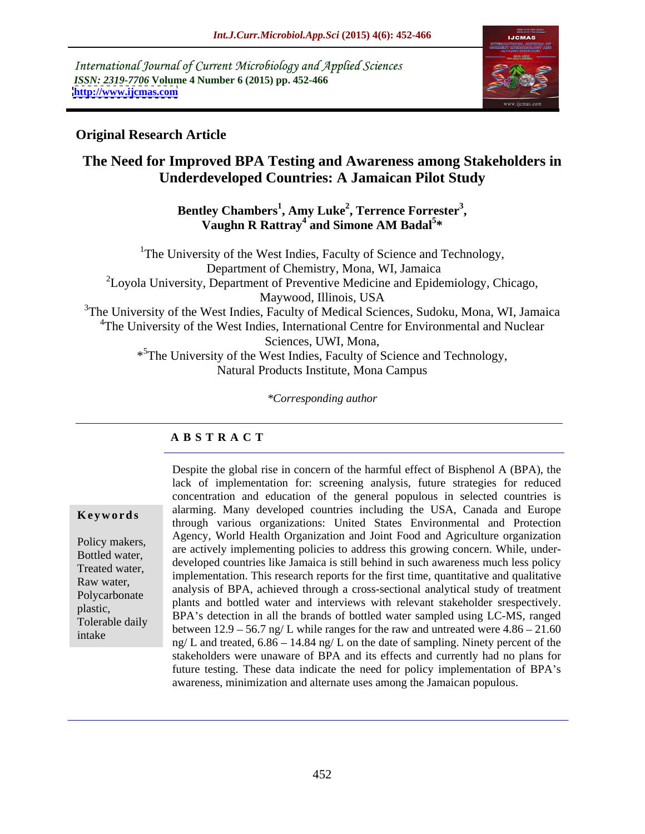International Journal of Current Microbiology and Applied Sciences *ISSN: 2319-7706* **Volume 4 Number 6 (2015) pp. 452-466 <http://www.ijcmas.com>**



## **Original Research Article**

# **The Need for Improved BPA Testing and Awareness among Stakeholders in Underdeveloped Countries: A Jamaican Pilot Study**

**Bentley Chambers<sup>1</sup> , Amy Luke<sup>2</sup> , Terrence Forrester<sup>3</sup> , Vaughn R Rattray<sup>4</sup> and Simone AM Badal<sup>5</sup> \***

<sup>1</sup>The University of the West Indies, Faculty of Science and Technology, Department of Chemistry, Mona, WI, Jamaica  ${}^{2}$ Loyola University, Department of Preventive Medicine and Epidemiology, Chicago, Maywood, Illinois, USA <sup>3</sup>The University of the West Indies, Faculty of Medical Sciences, Sudoku, Mona, WI, Jamaica <sup>4</sup>The University of the West Indies, International Centre for Environmental and Nuclear Sciences, UWI, Mona, \* 5The University of the West Indies, Faculty of Science and Technology, Natural Products Institute, Mona Campus

*\*Corresponding author*

### **A B S T R A C T**

intake

Despite the global rise in concern of the harmful effect of Bisphenol A (BPA), the lack of implementation for: screening analysis, future strategies for reduced concentration and education of the general populous in selected countries is **Keywords** alarming. Many developed countries including the USA, Canada and Europe through various organizations: United States Environmental and Protection Agency, World Health Organization and Joint Food and Agriculture organization Policy makers,<br>are actively implementing policies to address this growing concern. While, under-<br>Pottlod water Bottled water,<br>
developed countries like Jamaica is still behind in such awareness much less policy<br>
Tracted water Treated water,<br>
implementation. This research reports for the first time, quantitative and qualitative<br>
The first time, quantitative and qualitative Raw water,<br>
analysis of BPA, achieved through a cross-sectional analytical study of treatment plants and bottled water and interviews with relevant stakeholder srespectively. plastic,<br>BPA's detection in all the brands of bottled water sampled using LC-MS, ranged Tolerable daily<br>intervalsed between  $12.9 - 56.7$  ng/ L while ranges for the raw and untreated were  $4.86 - 21.60$ ng/ L and treated,  $6.86 - 14.84$  ng/ L on the date of sampling. Ninety percent of the stakeholders were unaware of BPA and its effects and currently had no plans for future testing. These data indicate the need for policy implementation of BPA's awareness, minimization and alternate uses among the Jamaican populous. Polycarbonate analysis of D<sub>1</sub>A, achieved unough a cross-sectional analytical study of treatment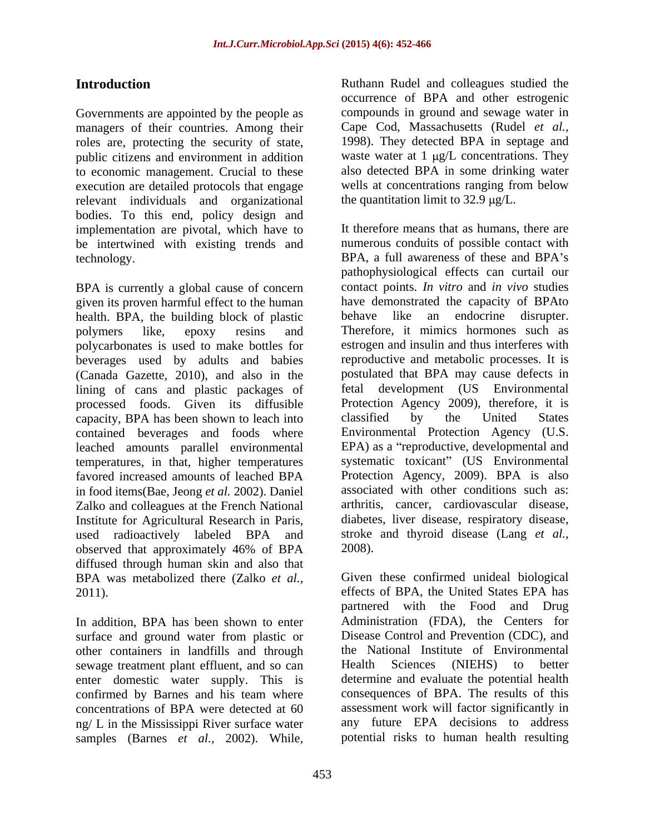Governments are appointed by the people as managers of their countries. Among their roles are, protecting the security of state, and public citizens and environment in addition waste water at 1 µg/L concentrations. They to economic management. Crucial to these execution are detailed protocols that engage relevant individuals and organizational bodies. To this end, policy design and implementation are pivotal, which have to be intertwined with existing trends and

BPA is currently a global cause of concern given its proven harmful effect to the human<br>have demonstrated the capacity<br>health. BPA, the building block of plastic behave like an endocrine health. BPA, the building block of plastic behave like an endocrine disrupter. polycarbonates is used to make bottles for beverages used by adults and babies (Canada Gazette, 2010), and also in the lining of cans and plastic packages of processed foods. Given its diffusible Protection Agency 2009), therefore can<br>cancity RPA has been shown to leach into classified by the United capacity, BPA has been shown to leach into contained beverages and foods where leached amounts parallel environmental favored increased amounts of leached BPA in food items(Bae, Jeong *et al.* 2002). Daniel Zalko and colleagues at the French National Institute for Agricultural Research in Paris, observed that approximately 46% of BPA diffused through human skin and also that BPA was metabolized there (Zalko *et al.,*

surface and ground water from plastic or other containers in landfills and through the National Institute of Exercise extends the servace treatment plant effluent and so can all Health Sciences (NIEHS) sewage treatment plant effluent, and so can Health Sciences (NIEHS) to better enter domestic water supply. This is confirmed by Barnes and his team where ng/ L in the Mississippi River surface water

**Introduction Introduction Intervention Ruthann** Rudel and colleagues studied the occurrence of BPA and other estrogenic compounds in ground and sewage water in Cape Cod, Massachusetts (Rudel *et al.,* 1998). They detected BPA in septage and waste water at  $1 \mu g/L$  concentrations. They also detected BPA in some drinking water wells at concentrations ranging from below the quantitation limit to  $32.9 \mu g/L$ .

technology. BPA, a full awareness of these and BPA s polymers like, epoxy resins and Therefore, it mimics hormones such as temperatures, in that, higher temperatures systematic toxicant" (US Environmental used radioactively labeled BPA and stroke and thyroid disease (Lang *et al.*, **Entroduction Examples and a** computer of **EVA** and all colleague studied the properties of the colleague studied the properties and severe in the colleague of the colleague of the colleague of the colleague of the colle It therefore means that as humans, there are numerous conduits of possible contact with pathophysiological effects can curtail our contact points. *In vitro* and *in vivo* studies have demonstrated the capacity of BPAto behave like an endocrine disrupter. estrogen and insulin and thus interferes with reproductive and metabolic processes. It is postulated that BPA may cause defects in fetal development (US Environmental Protection Agency 2009), therefore, it is classified by the United States Environmental Protection Agency (U.S. EPA) as a "reproductive, developmental and Protection Agency, 2009). BPA is also associated with other conditions such as: arthritis, cancer, cardiovascular disease, diabetes, liver disease, respiratory disease, stroke and thyroid disease (Lang *et al.,*

2011). effects of BPA, the United States EPA has In addition, BPA has been shown to enter Administration (FDA), the Centers for concentrations of BPA were detected at 60 2008). Given these confirmed unideal biological partnered with the Food and Drug Disease Control and Prevention (CDC), and the National Institute of Environmental Health Sciences (NIEHS) to better determine and evaluate the potential health consequences of BPA. The results of this assessment work will factor significantly in any future EPA decisions to address potential risks to human health resulting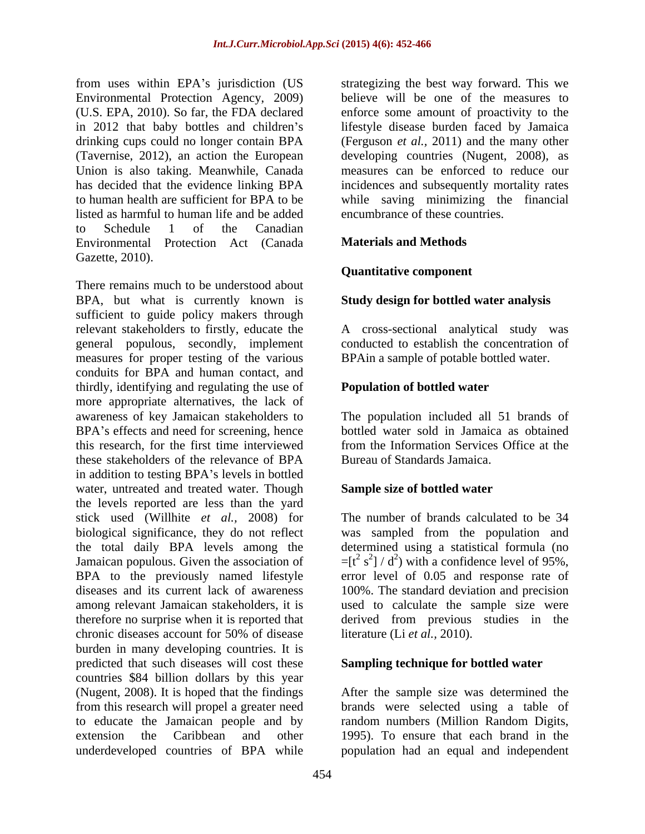from uses within EPA's jurisdiction (US drinking cups could no longer contain BPA listed as harmful to human life and be added to Schedule 1 of the Canadian Environmental Protection Act (Canada Materials and Methods Gazette, 2010).

There remains much to be understood about BPA, but what is currently known is sufficient to guide policy makers through relevant stakeholders to firstly, educate the A cross-sectional analytical study was general populous, secondly, implement conducted to establish the concentration of measures for proper testing of the various conduits for BPA and human contact, and thirdly, identifying and regulating the use of more appropriate alternatives, the lack of awareness of key Jamaican stakeholders to The population included all 51 brands of BPA's effects and need for screening, hence this research, for the first time interviewed these stakeholders of the relevance of BPA in addition to testing BPA's levels in bottled water, untreated and treated water. Though the levels reported are less than the yard stick used (Willhite *et al.,* 2008) for biological significance, they do not reflect was sampled from the population and the total daily BPA levels among the determined using a statistical formula (no Jamaican populous. Given the association of  $=[t^2 s^2] / d^2$  with a confidence level of 95%, BPA to the previously named lifestyle error level of 0.05 and response rate of diseases and its current lack of awareness 100%. The standard deviation and precision among relevant Jamaican stakeholders, it is used to calculate the sample size were therefore no surprise when it is reported that<br>chronic diseases account for 50% of disease chronic diseases account for 50% of disease literature (Li *et al.*, 2010). burden in many developing countries. It is predicted that such diseases will cost these countries \$84 billion dollars by this year (Nugent, 2008). It is hoped that the findings After the sample size was determined the from this research will propel a greater need brands were selected using a table of to educate the Jamaican people and by random numbers (Million Random Digits, extension the Caribbean and other 1995). To ensure that each brand in the underdeveloped countries of BPA while population had an equal and independent

Environmental Protection Agency, 2009) believe will be one of the measures to (U.S. EPA, 2010). So far, the FDA declared enforce some amount of proactivity to the in 2012 that baby bottles and children's lifestyle disease burden faced by Jamaica (Tavernise, 2012), an action the European developing countries (Nugent, 2008), as Union is also taking. Meanwhile, Canada measures can be enforced to reduce our has decided that the evidence linking BPA incidences and subsequently mortality rates to human health are sufficient for BPA to be while saving minimizing the financial strategizing the best way forward. This we (Ferguson *et al.,* 2011) and the many other encumbrance of these countries.

### **Materials and Methods**

### **Quantitative component**

### **Study design for bottled water analysis**

BPAin a sample of potable bottled water.

### **Population of bottled water**

bottled water sold in Jamaica as obtained from the Information Services Office at the Bureau of Standards Jamaica.

### **Sample size of bottled water**

The number of brands calculated to be 34  $=[t^2 s^2]/d^2$ ) with a confidence level of 95%,<br>error level of 0.05 and response rate of derived from previous studies in the literature (Li *et al.,* 2010).

### **Sampling technique for bottled water**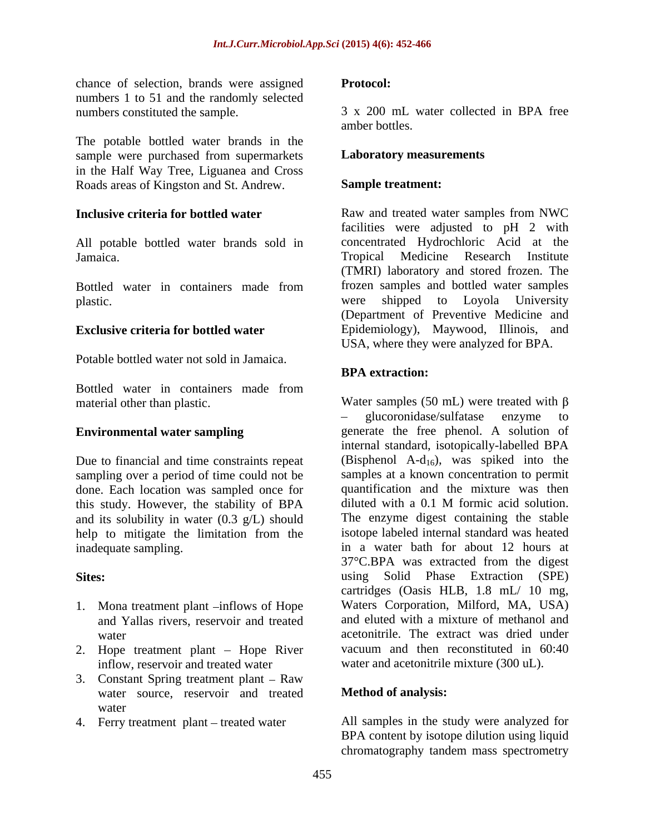chance of selection, brands were assigned numbers 1 to 51 and the randomly selected

The potable bottled water brands in the sample were purchased from supermarkets in the Half Way Tree, Liguanea and Cross Roads areas of Kingston and St. Andrew.

All potable bottled water brands sold in

Potable bottled water not sold in Jamaica.

Bottled water in containers made from

Due to financial and time constraints repeat sampling over a period of time could not be done. Each location was sampled once for quantification and the mixture was then this study. However, the stability of BPA diluted with a 0.1 M formic acid solution. this study. However, the stability of BPA and its solubility in water (0.3 g/L) should help to mitigate the limitation from the

- 1. Mona treatment plant  $\rightarrow$  inflows of Hope
- 2. Hope treatment plant Hope River inflow, reservoir and treated water water and acetonitrile mixture (300 uL).
- 3. Constant Spring treatment plant  $-$  Raw water source, reservoir and treated water **that the contract of the contract of the contract of the contract of the contract of the contract of the contract of the contract of the contract of the contract of the contract of the contract of the contract of th**
- 4. Ferry treatment plant treated water

#### **Protocol:**

numbers constituted the sample. 3 x 200 mL water collected in BPA free amber bottles.

#### **Laboratory measurements**

#### **Sample treatment:**

**Inclusive criteria for bottled water** Raw and treated water samples from NWC Jamaica. Tropical Medicine Research Institute Bottled water in containers made from frozen samples and bottled water samples plastic. The policies of the shipped to Loyola University **Exclusive criteria for bottled water** Epidemiology), Maywood, Illinois, and facilities were adjusted to pH 2 with concentrated Hydrochloric Acid at the (TMRI) laboratory and stored frozen. The frozen samples and bottled water samples were shipped to Loyola University (Department of Preventive Medicine and USA, where they were analyzed for BPA.

### **BPA extraction:**

material other than plastic. Water samples (50 mL) were treated with  $\beta$ **Environmental water sampling** enerate the free phenol. A solution of inadequate sampling. in a water bath for about 12 hours at **Sites:** using Solid Phase Extraction (SPE) and Yallas rivers, reservoir and treated and eluted with a mixture of methanol and water acetonitrile. The extract was dried under glucoronidase/sulfatase enzyme to internal standard, isotopically-labelled BPA (Bisphenol A- $d_{16}$ ), was spiked into the samples at a known concentration to permit quantification and the mixture was then diluted with a 0.1 M formic acid solution. The enzyme digest containing the stable isotope labeled internal standard was heated 37°C.BPA was extracted from the digest cartridges (Oasis HLB, 1.8 mL/ 10 mg, Waters Corporation, Milford, MA, USA) vacuum and then reconstituted in 60:40

### **Method of analysis:**

All samples in the study were analyzed for BPA content by isotope dilution using liquid chromatography tandem mass spectrometry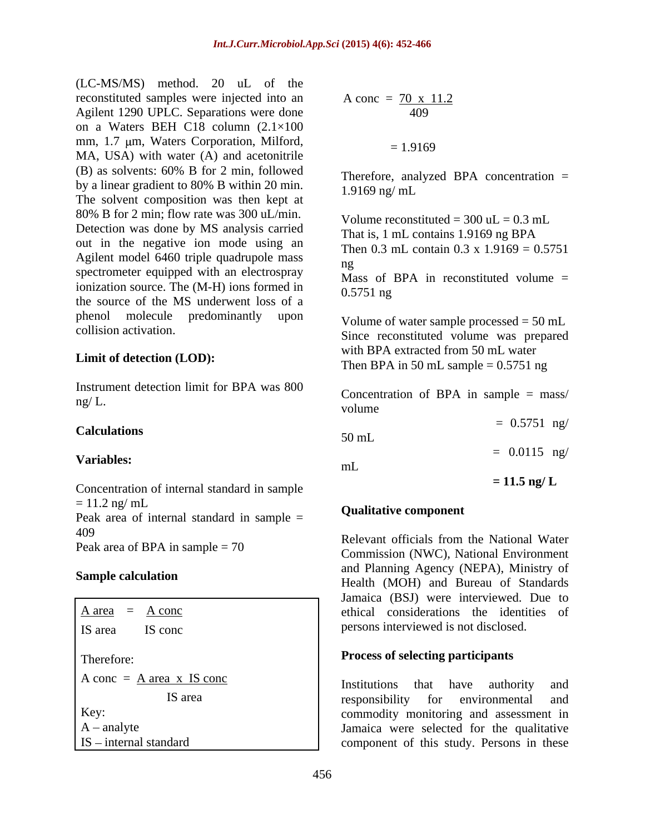(LC-MS/MS) method. 20 uL of the reconstituted samples were injected into an Agilent 1290 UPLC. Separations were done on a Waters BEH C18 column (2.1×100 mm, 1.7  $\mu$ m, Waters Corporation, Milford,  $= 1.9169$ MA, USA) with water (A) and acetonitrile (B) as solvents: 60% B for 2 min, followed by a linear gradient to 80% B within 20 min. 1.9169 ng/ mL The solvent composition was then kept at 80% B for 2 min; flow rate was 300 uL/min. Detection was done by MS analysis carried<br>That is,  $1 \text{ mL}$  contains  $1.9169 \text{ ng } \text{BPA}$ out in the negative ion mode using an Agilent model 6460 triple quadrupole mass  $\frac{10}{18}$ spectrometer equipped with an electrospray ionization source. The  $(M-H)$  ions formed in  $0.5751$  ng the source of the MS underwent loss of a phenol molecule predominantly upon  $V_{\text{olume of water sample processed} - 50 \text{ mJ}}$ 

### **Limit of detection (LOD):**

Instrument detection limit for BPA was  $800$  Concentration of PDA in cample  $=$  mass

### **Calculations**

### Variables:  $m<sub>l</sub>$  and  $m<sub>l</sub>$  and  $m<sub>l</sub>$  and  $m<sub>l</sub>$  and  $m<sub>l</sub>$  and  $m<sub>l</sub>$  and  $m<sub>l</sub>$  and  $m<sub>l</sub>$  and  $m<sub>l</sub>$  and  $m<sub>l</sub>$  and  $m<sub>l</sub>$  and  $m<sub>l</sub>$  and  $m<sub>l</sub>$  and  $m<sub>l</sub>$  and

Concentration of internal standard in sample  $= 11.5$  ng/L  $= 11.2$  ng/ mL Peak area of internal standard in sample = 409<br>Relevant officials from the National Water Peak area of BPA in sample  $= 70$ 

Therefore: **Process of selecting participants**   $A \text{ conc} = \underline{A} \text{ area } x \text{ IS cone}$  <br>Institutions that have authority and

$$
A \text{ conc} = \frac{70 \times 11.2}{409}
$$

$$
= 1.9169
$$

Therefore, analyzed BPA concentration = 1.9169 ng/ mL

Volume reconstituted =  $300$  uL =  $0.3$  mL That is, 1 mL contains 1.9169 ng BPA Then 0.3 mL contain 0.3 x  $1.9169 = 0.5751$ ng

Mass of BPA in reconstituted volume  $=$ 0.5751 ng

collision activation.<br>
Since reconstituted volume was prepared Volume of water sample processed = 50 mL with BPA extracted from 50 mL water Then BPA in 50 mL sample  $= 0.5751$  ng

 $mg/L$ . Concentration of BPA in sample  $=$  mass/ volume and the state of the state of the state of the state of the state of the state of the state of the state of the state of the state of the state of the state of the state of the state of the state of the state of the  $= 0.5751$  ng/

 $50 \text{ mL}$  = 0.0115 ng/

mL

**= 11.5 ng/ L**

### **Qualitative component**

**Sample calculation**<br>
Health (MOH) and Bureau of Standards  $\overline{A}$  area =  $\overline{A}$  conc IS area IS conc persons interviewed is not disclosed. Relevant officials from the National Water Commission (NWC), National Environment and Planning Agency (NEPA), Ministry of Jamaica (BSJ) were interviewed. Due to

IS area and responsibility for environmental and responsibility for environmental Key: commodity monitoring and assessment in A - analyte and a selected for the qualitative and  $\blacksquare$  analyte selected for the qualitative IS - internal standard and component of this study. Persons in these Institutions that have authority and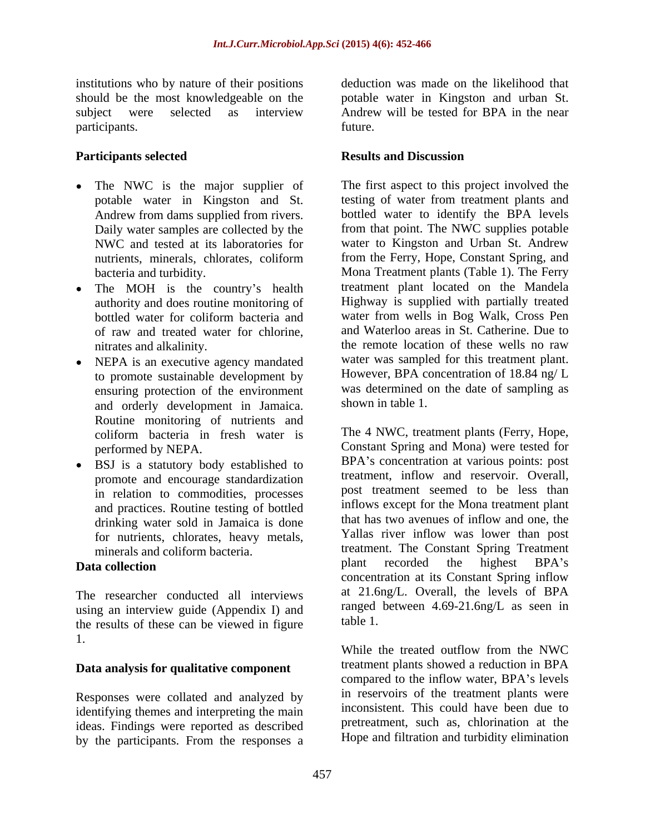institutions who by nature of their positions<br>should be the most knowledgeable on the participants. The contract of the contract of the contract of the contract of the contract of the contract of the contract of the contract of the contract of the contract of the contract of the contract of the contract of

- potable water in Kingston and St.
- The MOH is the country's health authority and does routine monitoring of of raw and treated water for chlorine,
- NEPA is an executive agency mandated to promote sustainable development by ensuring protection of the environment<br>and orderly development in Iemaica<br>shown in table 1. and orderly development in Jamaica. Routine monitoring of nutrients and coliform bacteria in fresh water is
- BSJ is a statutory body established to  $\bullet$ promote and encourage standardization in relation to commodities, processes and practices. Routine testing of bottled drinking water sold in Jamaica is done for nutrients, chlorates, heavy metals,

The researcher conducted all interviews using an interview guide (Appendix I) and  $\frac{\text{rangedd}}{\text{the result of these}}$  are table 1. the results of these can be viewed in figure 1. While the treated outflow from the NWC

### **Data analysis for qualitative component**

Responses were collated and analyzed by identifying themes and interpreting the main ideas. Findings were reported as described by the participants. From the responses a

should be the most knowledgeable on the potable water in Kingston and urban St. subject were selected as interview Andrew will be tested for BPA in the near deduction was made on the likelihood that Andrew will be tested for BPA in the near future.

#### Participants selected **Results** and Discussion **Results and Discussion**

The NWC is the major supplier of The first aspect to this project involved the Andrew from dams supplied from rivers. bottled water to identify the BPA levels Daily water samples are collected by the from that point. The NWC supplies potable NWC and tested at its laboratories for water to Kingston and Urban St. Andrew nutrients, minerals, chlorates, coliform from the Ferry, Hope, Constant Spring, and bacteria and turbidity. Mona Treatment plants (Table 1). The Ferry bottled water for coliform bacteria and water from wells in Bog Walk, Cross Pen nitrates and alkalinity. the remote location of these wells no raw testing of water from treatment plants and from the Ferry, Hope, Constant Spring, and treatment plant located on the Mandela Highway is supplied with partially treated water from wells in Bog Walk, Cross Pen and Waterloo areas in St. Catherine. Due to water was sampled for this treatment plant. However, BPA concentration of 18.84 ng/ L was determined on the date of sampling as shown in table 1.

performed by NEPA. Constant Spring and Mona) were tested for minerals and coliform bacteria. treatment. The Constant Spring Treatment **Data collection** and the matter of the matter of the matter of the matter of the matter of the matter of the matter of the matter of the matter of the matter of the matter of the matter of the matter of the matter of the The 4 NWC, treatment plants (Ferry, Hope, BPA's concentration at various points: post treatment, inflow and reservoir. Overall, post treatment seemed to be less than inflows except for the Mona treatment plant that has two avenues of inflow and one, the Yallas river inflow was lower than post plant recorded the highest BPA's concentration at its Constant Spring inflow at 21.6ng/L. Overall, the levels of BPA ranged between 4.69-21.6ng/L as seen in table 1.

> While the treated outflow from the NWC treatment plants showed a reduction in BPA compared to the inflow water, BPA's levels in reservoirs of the treatment plants were inconsistent. This could have been due to pretreatment, such as, chlorination at the Hope and filtration and turbidity elimination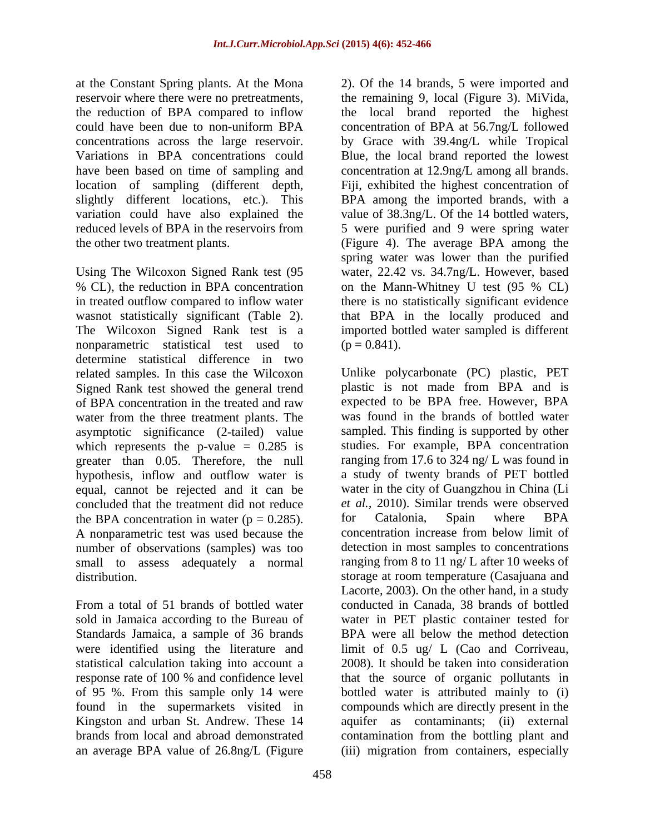at the Constant Spring plants. At the Mona reservoir where there were no pretreatments, the remaining 9, local (Figure 3). MiVida, the reduction of BPA compared to inflow the local brand reported the highest could have been due to non-uniform BPA concentration of BPA at 56.7ng/L followed concentrations across the large reservoir. by Grace with 39.4ng/L while Tropical Variations in BPA concentrations could Blue, the local brand reported the lowest have been based on time of sampling and concentration at 12.9ng/L among all brands. location of sampling (different depth, Fiji, exhibited the highest concentration of slightly different locations, etc.). This BPA among the imported brands, with a variation could have also explained the value of 38.3ng/L. Of the 14 bottled waters, reduced levels of BPA in the reservoirs from 5 were purified and 9 were spring water the other two treatment plants. (Figure 4). The average BPA among the

Using The Wilcoxon Signed Rank test (95 % CL), the reduction in BPA concentration on the Mann-Whitney U test (95 % CL) in treated outflow compared to inflow water there is no statistically significant evidence wasnot statistically significant (Table 2). that BPA in the locally produced and The Wilcoxon Signed Rank test is a imported bottled water sampled is different nonparametric statistical test used to  $(p = 0.841)$ . determine statistical difference in two related samples. In this case the Wilcoxon Signed Rank test showed the general trend water from the three treatment plants. The asymptotic significance (2-tailed) value which represents the p-value  $= 0.285$  is greater than 0.05. Therefore, the null hypothesis, inflow and outflow water is equal, cannot be rejected and it can be concluded that the treatment did not reduce the BPA concentration in water  $(p = 0.285)$ . for Catalonia, Spain where BPA<br>A nonparametric test was used because the concentration increase from below limit of A nonparametric test was used because the number of observations (samples) was too small to assess adequately a normal

statistical calculation taking into account a

2). Of the 14 brands, 5 were imported and spring water was lower than the purified water, 22.42 vs. 34.7ng/L. However, based on the Mann-Whitney U test (95 % CL)  $(p = 0.841)$ .

of BPA concentration in the treated and raw expected to be BPA free. However, BPA distribution. storage at room temperature (Casajuana and From a total of 51 brands of bottled water conducted in Canada, 38 brands of bottled sold in Jamaica according to the Bureau of water in PET plastic container tested for Standards Jamaica, a sample of 36 brands BPA were all below the method detection were identified using the literature and limit of 0.5 ug/ L (Cao and Corriveau, response rate of 100 % and confidence level that the source of organic pollutants in of 95 %. From this sample only 14 were bottled water is attributed mainly to (i) found in the supermarkets visited in compounds which are directly present in the Kingston and urban St. Andrew. These 14 aquifer as contaminants; (ii) external brands from local and abroad demonstrated contamination from the bottling plant and an average BPA value of 26.8ng/L (Figure (iii) migration from containers, especiallyUnlike polycarbonate (PC) plastic, PET plastic is not made from BPA and is expected to be BPA free. However, BPA was found in the brands of bottled water sampled. This finding is supported by other studies. For example, BPA concentration ranging from 17.6 to 324 ng/ L was found in a study of twenty brands of PET bottled water in the city of Guangzhou in China (Li *et al.,* 2010). Similar trends were observed for Catalonia, Spain where BPA concentration increase from below limit of detection in most samples to concentrations ranging from 8 to 11 ng/ L after 10 weeks of Lacorte, 2003). On the other hand, in a study 2008). It should be taken into consideration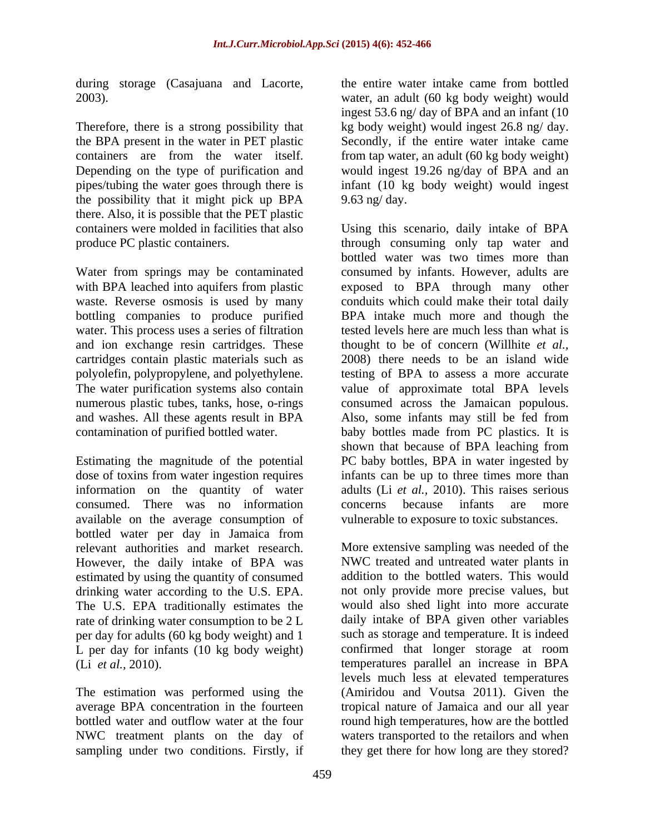during storage (Casajuana and Lacorte, the entire water intake came from bottled

the possibility that it might pick up BPA there. Also, it is possible that the PET plastic

Water from springs may be contaminated water. This process uses a series of filtration and ion exchange resin cartridges. These

consumed. There was no information available on the average consumption of bottled water per day in Jamaica from relevant authorities and market research. However, the daily intake of BPA was estimated by using the quantity of consumed The U.S. EPA traditionally estimates the rate of drinking water consumption to be 2 L per day for adults (60 kg body weight) and 1 L per day for infants  $(10 \text{ kg body weight})$ <br>(Li et al., 2010).

bottled water and outflow water at the four

2003). water, an adult (60 kg body weight) would Therefore, there is a strong possibility that kg body weight) would ingest 26.8 ng/ day. the BPA present in the water in PET plastic Secondly, if the entire water intake came containers are from the water itself. from tap water, an adult (60 kg body weight) Depending on the type of purification and would ingest 19.26 ng/day of BPA and an pipes/tubing the water goes through there is infant (10 kg body weight) would ingest the entire water intake came from bottled ingest 53.6 ng/ day of BPA and an infant (10 9.63 ng/ day.

containers were molded in facilities that also Using this scenario, daily intake of BPA produce PC plastic containers. through consuming only tap water and with BPA leached into aquifers from plastic exposed to BPA through many other waste. Reverse osmosis is used by many conduits which could make their total daily bottling companies to produce purified BPA intake much more and though the cartridges contain plastic materials such as 2008) there needs to be an island wide polyolefin, polypropylene, and polyethylene. testing of BPA to assess a more accurate The water purification systems also contain value of approximate total BPA levels numerous plastic tubes, tanks, hose, o-rings consumed across the Jamaican populous. and washes. All these agents result in BPA Also, some infants may still be fed from contamination of purified bottled water. baby bottles made from PC plastics. It is Estimating the magnitude of the potential PC baby bottles, BPA in water ingested by dose of toxins from water ingestion requires infants can be up to three times more than information on the quantity of water adults (Li *et al.,* 2010). This raises serious bottled water was two times more than consumed by infants. However, adults are tested levels here are much less than what is thought to be of concern (Willhite *et al.,* shown that because of BPA leaching from concerns because infants are more vulnerable to exposure to toxic substances.

drinking water according to the U.S. EPA. not only provide more precise values, but rate of drinking water consumption to be 2 L aily intake of BPA given other variables (Li *et al.*, 2010). <br>
The estimation was performed using the (Amiridou and Voutsa 2011). Given the average BPA concentration in the fourteen tropical nature of Jamaica and our all year NWC treatment plants on the day of waters transported to the retailors and when sampling under two conditions. Firstly, if they get there for how long are they stored? More extensive sampling was needed of the NWC treated and untreated water plants in addition to the bottled waters. This would would also shed light into more accurate such as storage and temperature. It is indeed confirmed that longer storage at room temperatures parallel an increase in BPA levels much less at elevated temperatures (Amiridou and Voutsa 2011). Given the round high temperatures, how are the bottled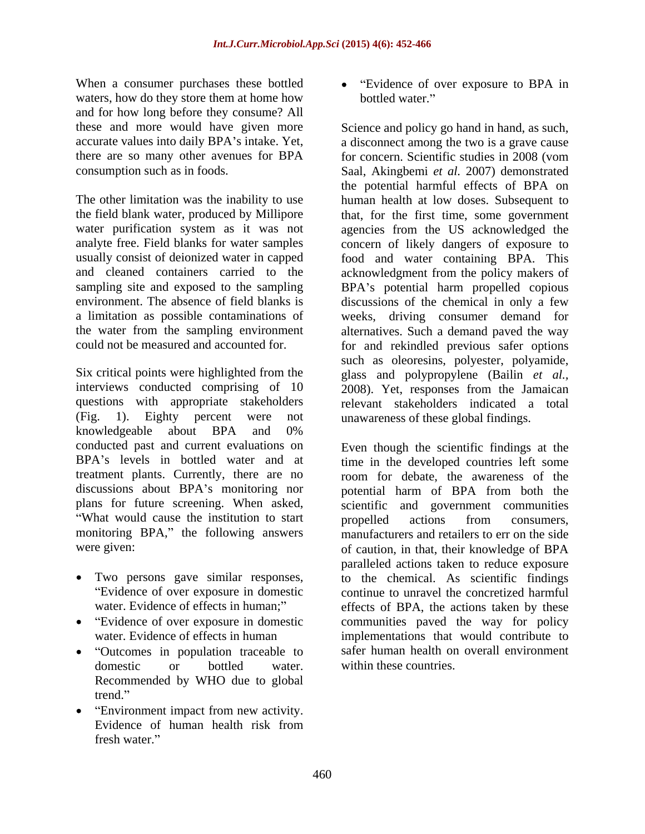When a consumer purchases these bottled • "Evidence of over exposure to BPA in waters, how do they store them at home how bottled water." and for how long before they consume? All

a limitation as possible contaminations of

Six critical points were highlighted from the glass and polypropylene (Bailin *et al.,* interviews conducted comprising of 10 2008). Yet, responses from the Jamaican questions with appropriate stakeholders (Fig. 1). Eighty percent were not unawareness of these global findings. knowledgeable about BPA and 0% conducted past and current evaluations on Even though the scientific findings at the BPA's levels in bottled water and at time in the developed countries left some treatment plants. Currently, there are no room for debate, the awareness of the discussions about BPA's monitoring nor plans for future screening. When asked,<br>"What would cause the institution to start by a more consumers, monitoring BPA," the following answers

- 
- 
- "Outcomes in population traceable to Recommended by WHO due to global trend.
- Environment impact from new activity. Evidence of human health risk from

bottled water."

these and more would have given more Science and policy go hand in hand, as such, accurate values into daily BPA's intake. Yet, a disconnect among the two is a grave cause there are so many other avenues for BPA for concern. Scientific studies in 2008 (vom consumption such as in foods. Saal, Akingbemi *et al.* 2007) demonstrated The other limitation was the inability to use human health at low doses. Subsequent to the field blank water, produced by Millipore that, for the first time, some government water purification system as it was not agencies from the US acknowledged the analyte free. Field blanks for water samples concern of likely dangers of exposure to usually consist of deionized water in capped food and water containing BPA. This and cleaned containers carried to the acknowledgment from the policy makers of sampling site and exposed to the sampling BPA's potential harm propelled copious environment. The absence of field blanks is discussions of the chemical in only a few the water from the sampling environment alternatives. Such a demand paved the way could not be measured and accounted for. for and rekindled previous safer options in consumer prochains labor build and the build of the state build in the consumer particle in the build of our consumer scale and the consumer scale and the build of our build water. The conservation of our consumer scale the potential harmful effects of BPA on weeks, driving consumer demand for such as oleoresins, polyester, polyamide, relevant stakeholders indicated a total

were given:  $\qquad \qquad$  of caution, in that, their knowledge of BPA Two persons gave similar responses, to the chemical. As scientific findings Evidence of over exposure in domestic continue to unravel the concretized harmful water. Evidence of effects in human;" effects of BPA, the actions taken by these Evidence of over exposure in domestic communities paved the way for policy water. Evidence of effects in human implementations that would contribute to domestic or bottled water. within these countries. potential harm of BPA from both the scientific and government communities propelled actions from consumers, manufacturers and retailers to err on the side paralleled actions taken to reduce exposure safer human health on overall environment within these countries.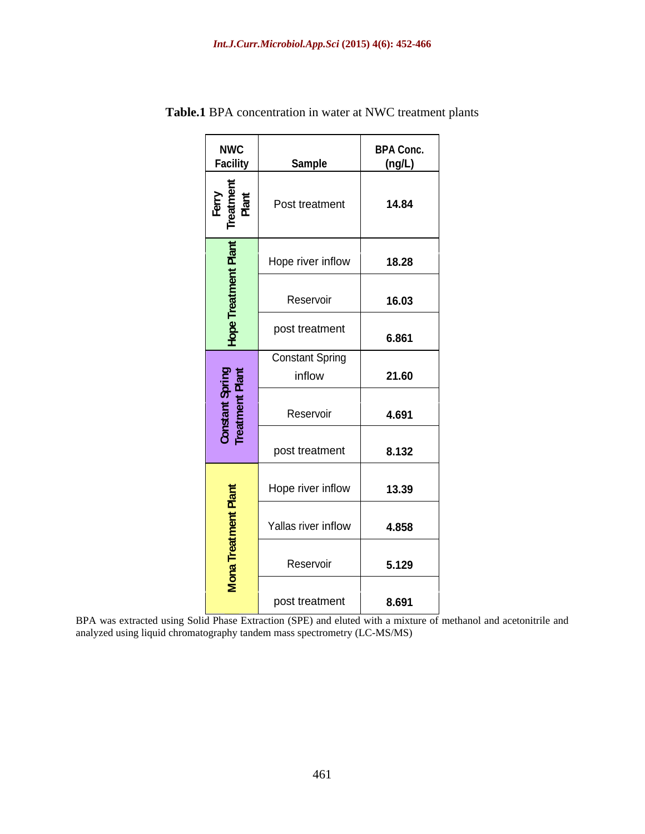| <b>NWC</b><br><b>Facility</b>      |                        | <b>BPA Conc.</b> |
|------------------------------------|------------------------|------------------|
| - 보기                               | Sample                 | (ng/L)           |
| Ferry<br>Treatmen<br>Plant         | Post treatment         | 14.84            |
| ゙゙゙゙゙゙                             |                        |                  |
| $\mathbf{a}$<br>ميون               | Hope river inflow      | 18.28            |
|                                    | Reservoir              | 16.03            |
| $rac{8}{2}$                        | post treatment         | 6.861            |
|                                    | <b>Constant Spring</b> |                  |
|                                    | inflow                 | 21.60            |
| Constant Spring<br>Treatment Plant | Reservoir              | 4.691            |
|                                    | post treatment         | 8.132            |
|                                    |                        |                  |
| 栏                                  | Hope river inflow      | 13.39            |
|                                    | Yallas river inflow    | 4.858            |
|                                    | Reservoir              | 5.129            |
|                                    |                        |                  |
|                                    | post treatment         | 8.691            |

**Table.1** BPA concentration in water at NWC treatment plants

BPA was extracted using Solid Phase Extraction (SPE) and eluted with a mixture of methanol and acetonitrile and analyzed using liquid chromatography tandem mass spectrometry (LC-MS/MS)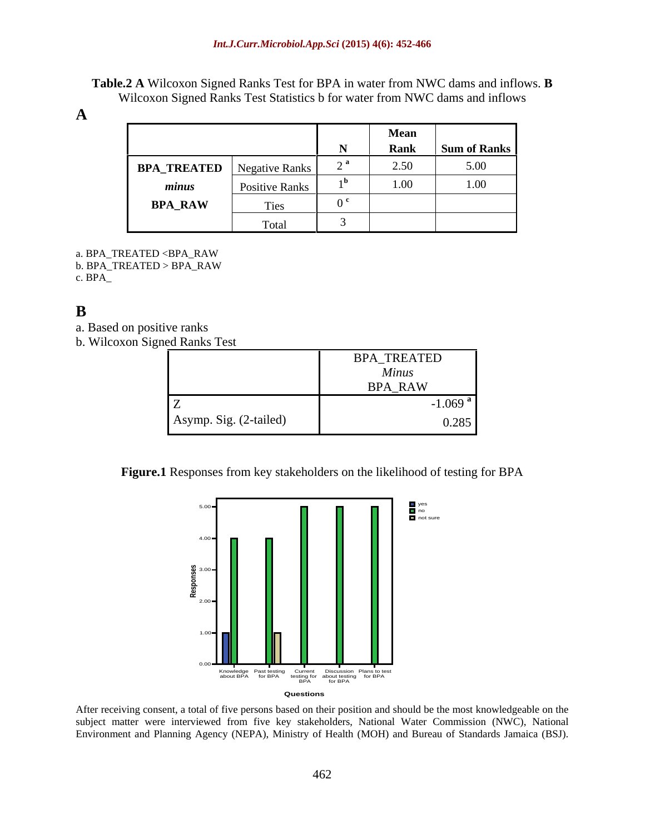**Table.2 A** Wilcoxon Signed Ranks Test for BPA in water from NWC dams and inflows. **B**  Wilcoxon Signed Ranks Test Statistics b for water from NWC dams and inflows

|                |                | <b>Mean</b> |              |
|----------------|----------------|-------------|--------------|
|                |                | <b>Rank</b> | Sum of Ranks |
| BPA_TREATED    | Negative Ranks | 2.50        | 5.00         |
| minus          | Positive Ranks | 1.00        | 1.00         |
| <b>BPA_RAW</b> | Ties           |             |              |
|                | Total          |             |              |

- a. BPA\_TREATED <BPA\_RAW
- b. BPA\_TREATED > BPA\_RAW

c. BPA\_

# **B**

- a. Based on positive ranks
- b. Wilcoxon Signed Ranks Test

|                        | BPA_TREATED                   |  |  |  |  |  |
|------------------------|-------------------------------|--|--|--|--|--|
|                        | $-1$ $-1$ $-1$ $-1$ $-1$ $-1$ |  |  |  |  |  |
|                        | <b>BPA_RAW</b>                |  |  |  |  |  |
|                        | $1.069$ <sup>a</sup>          |  |  |  |  |  |
| Asymp. Sig. (2-tailed) | $\cap$                        |  |  |  |  |  |

**Figure.1** Responses from key stakeholders on the likelihood of testing for BPA



After receiving consent, a total of five persons based on their position and should be the most knowledgeable on the subject matter were interviewed from five key stakeholders, National Water Commission (NWC), National Environment and Planning Agency (NEPA), Ministry of Health (MOH) and Bureau of Standards Jamaica (BSJ).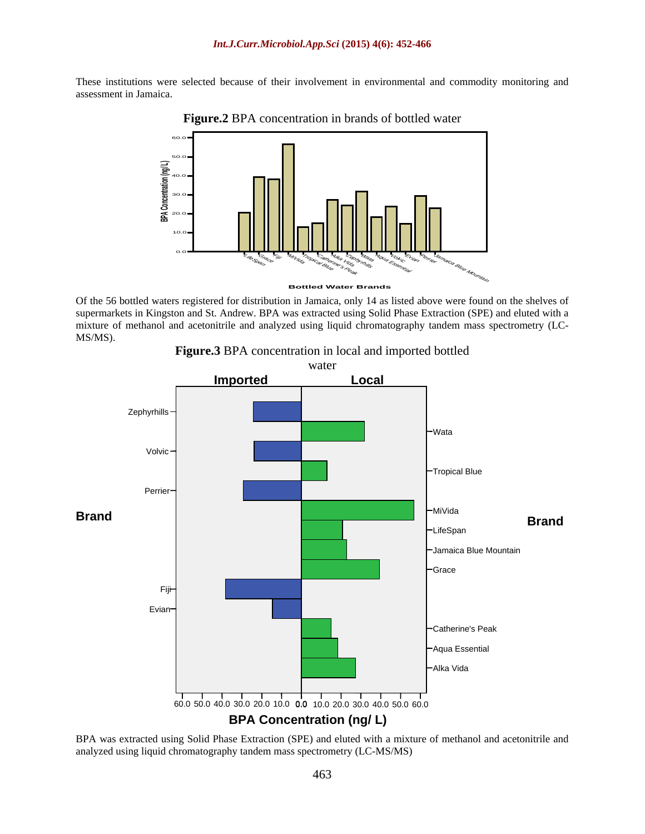These institutions were selected because of their involvement in environmental and commodity monitoring and assessment in Jamaica.





Of the 56 bottled waters registered for distribution in Jamaica, only 14 as listed above were found on the shelves of supermarkets in Kingston and St. Andrew. BPA was extracted using Solid Phase Extraction (SPE) and eluted with a mixture of methanol and acetonitrile and analyzed using liquid chromatography tandem mass spectrometry (LC- MS/MS).



BPA was extracted using Solid Phase Extraction (SPE) and eluted with a mixture of methanol and acetonitrile and analyzed using liquid chromatography tandem mass spectrometry (LC-MS/MS)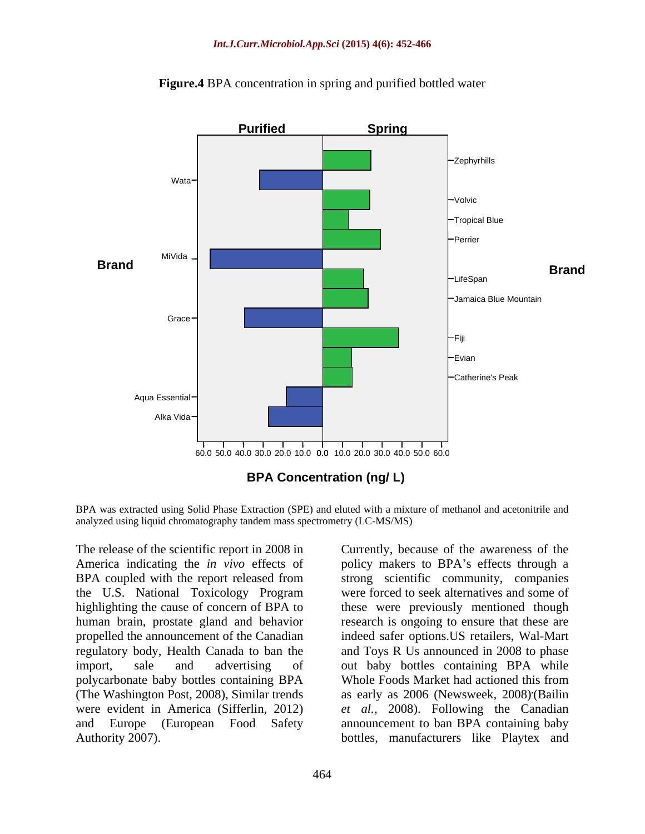

**Figure.4** BPA concentration in spring and purified bottled water

BPA was extracted using Solid Phase Extraction (SPE) and eluted with a mixture of methanol and acetonitrile and analyzed using liquid chromatography tandem mass spectrometry (LC-MS/MS)

The release of the scientific report in 2008 in Currently, because of the awareness of the America indicating the *in vivo* effects of policy makers to BPA's effects through a BPA coupled with the report released from strong scientific community, companies the U.S. National Toxicology Program were forced to seek alternatives and some of highlighting the cause of concern of BPA to these were previously mentioned though human brain, prostate gland and behavior propelled the announcement of the Canadian regulatory body, Health Canada to ban the and Toys R Us announced in 2008 to phase import, sale and advertising of out baby bottles containing BPA while polycarbonate baby bottles containing BPA Whole Foods Market had actioned this from (The Washington Post, 2008), Similar trends as early as 2006 (Newsweek, 2008) were evident in America (Sifferlin, 2012) *et al.,* 2008). Following the Canadian and Europe (European Food Safety announcement to ban BPA containing baby The release of the scientific report in 2008 in<br>
America indicating the *in vivo* effects of<br>
BPA coupled with the report released from<br>
BPA coupled with the report released from<br>
the U.S. National Toxicology Program<br>
wer

research is ongoing to ensure that these are indeed safer options.US retailers, Wal-Mart ,(Bailin bottles, manufacturers like Playtex and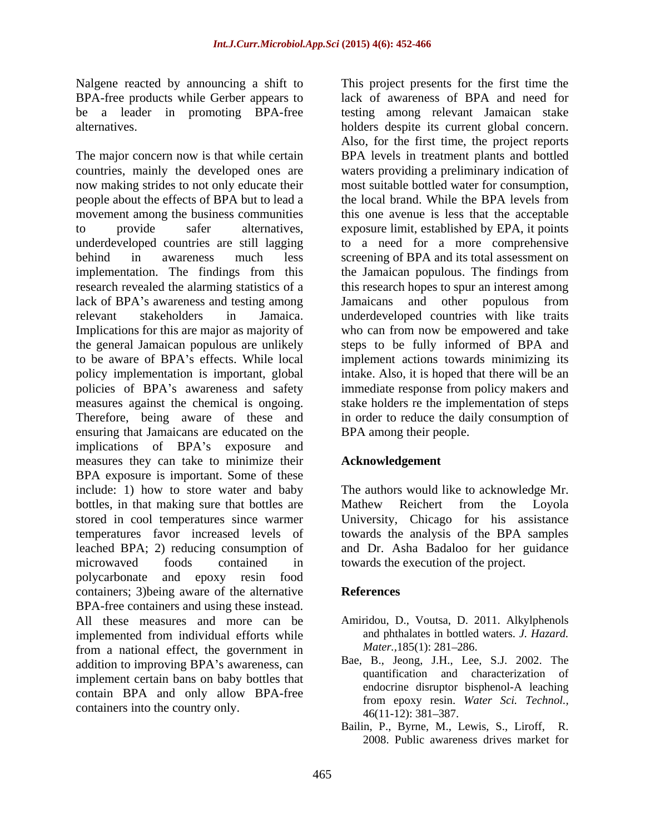The major concern now is that while certain BPA levels in treatment plants and bottled countries, mainly the developed ones are waters providing a preliminary indication of now making strides to not only educate their most suitable bottled water forconsumption, people about the effects of BPA but to lead a movement among the business communities this one avenue is less that the acceptable to provide safer alternatives, exposure limit, established by EPA, it points underdeveloped countries are still lagging to a need for a more comprehensive behind in awareness much less screening of BPA and its total assessment on implementation. The findings from this the Jamaican populous. The findings from research revealed the alarming statistics of a this research hopes to spur an interest among lack of BPA's awareness and testing among lamaicans and other populous from relevant stakeholders in Jamaica. underdeveloped countries with like traits Implications for this are major as majority of who can from now be empowered and take the general Jamaican populous are unlikely steps to be fully informed of BPA and to be aware of BPA's effects. While local implement actions towards minimizing its policy implementation is important, global intake. Also, it is hoped that there will be an policies of BPA's awareness and safety immediate response from policy makers and measures against the chemical is ongoing. Stake holders re the implementation of steps Therefore, being aware of these and in order to reduce the daily consumption of ensuring that Jamaicans are educated on the implications of BPA's exposure and measures they can take to minimize their BPA exposure is important. Some of these include: 1) how to store water and baby The authors would like to acknowledge Mr. bottles, in that making sure that bottles are Mathew Reichert from the Loyola stored in cool temperatures since warmer temperatures favor increased levels of towards the analysis of the BPA samples leached BPA; 2) reducing consumption of and Dr. Asha Badaloo for her guidance microwaved foods contained in towards the execution of the project. polycarbonate and epoxy resin food containers; 3) being aware of the alternative References BPA-free containers and using these instead. All these measures and more can be Amiridou, D., Voutsa, D. 2011. Alkylphenols implemented from individual efforts while and phthalates in bottled<br>from a national effect the government in *Mater*.,185(1): 281–286. from a national effect, the government in addition to improving BPA's awareness, can implement certain bans on baby bottles that contain BPA and only allow BPA-free containers into the country only.<br>46(11-12): 381–387.

Nalgene reacted by announcing a shift to This project presents for the first time the BPA-free products while Gerber appears to lack of awareness of BPA and need for be a leader in promoting BPA-free testing among relevant Jamaican stake alternatives. holders despite its current global concern. Also, for the first time, the project reports the local brand. While the BPA levels from BPA among their people.

### **Acknowledgement**

Mathew Reichert from the Loyola University, Chicago for his assistance

### **References**

- and phthalates in bottled waters. *J. Hazard. Mater.*, 185(1): 281–286.
- Bae, B., Jeong, J.H., Lee, S.J. 2002. The quantification and characterization of endocrine disruptor bisphenol-A leaching from epoxy resin. *Water Sci. Technol.,*  $46(11-12): 381-387.$
- Bailin, P., Byrne, M., Lewis, S., Liroff, R. 2008. Public awareness drives market for